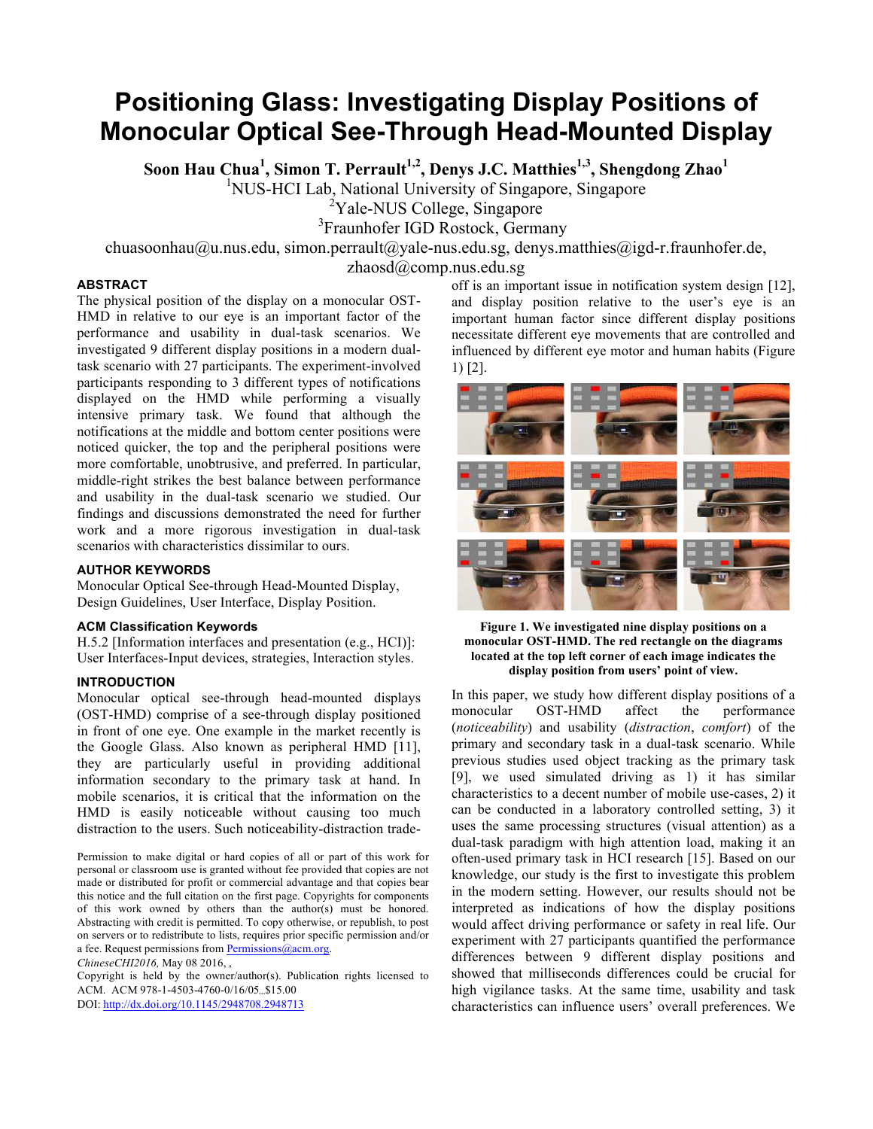# **Positioning Glass: Investigating Display Positions of Monocular Optical See-Through Head-Mounted Display**

**Soon Hau Chua<sup>1</sup>, Simon T. Perrault<sup>1,2</sup>, Denys J.C. Matthies<sup>1,3</sup>, Shengdong Zhao<sup>1</sup><br><sup>1</sup>NUS-HCI Lab, National University of Singapore, Singapore** 

 $2$ Yale-NUS College, Singapore

3 Fraunhofer IGD Rostock, Germany

chuasoonhau@u.nus.edu, simon.perrault@yale-nus.edu.sg, denys.matthies@igd-r.fraunhofer.de,

zhaosd@comp.nus.edu.sg

# **ABSTRACT**

The physical position of the display on a monocular OST-HMD in relative to our eye is an important factor of the performance and usability in dual-task scenarios. We investigated 9 different display positions in a modern dualtask scenario with 27 participants. The experiment-involved participants responding to 3 different types of notifications displayed on the HMD while performing a visually intensive primary task. We found that although the notifications at the middle and bottom center positions were noticed quicker, the top and the peripheral positions were more comfortable, unobtrusive, and preferred. In particular, middle-right strikes the best balance between performance and usability in the dual-task scenario we studied. Our findings and discussions demonstrated the need for further work and a more rigorous investigation in dual-task scenarios with characteristics dissimilar to ours.

# **AUTHOR KEYWORDS**

Monocular Optical See-through Head-Mounted Display, Design Guidelines, User Interface, Display Position.

# **ACM Classification Keywords**

H.5.2 [Information interfaces and presentation (e.g., HCI)]: User Interfaces-Input devices, strategies, Interaction styles.

# **INTRODUCTION**

Monocular optical see-through head-mounted displays (OST-HMD) comprise of a see-through display positioned in front of one eye. One example in the market recently is the Google Glass. Also known as peripheral HMD [11], they are particularly useful in providing additional information secondary to the primary task at hand. In mobile scenarios, it is critical that the information on the HMD is easily noticeable without causing too much distraction to the users. Such noticeability-distraction trade-

Permission to make digital or hard copies of all or part of this work for personal or classroom use is granted without fee provided that copies are not made or distributed for profit or commercial advantage and that copies bear this notice and the full citation on the first page. Copyrights for components of this work owned by others than the author(s) must be honored. Abstracting with credit is permitted. To copy otherwise, or republish, to post on servers or to redistribute to lists, requires prior specific permission and/or a fee. Request permissions from Permissions@acm.org.

*ChineseCHI2016,* May 08 2016, ,

Copyright is held by the owner/author(s). Publication rights licensed to ACM. ACM 978-1-4503-4760-0/16/05...\$15.00

DOI: http://dx.doi.org/10.1145/2948708.2948713

off is an important issue in notification system design [12], and display position relative to the user's eye is an important human factor since different display positions necessitate different eye movements that are controlled and influenced by different eye motor and human habits (Figure 1) [2].



**Figure 1. We investigated nine display positions on a monocular OST-HMD. The red rectangle on the diagrams located at the top left corner of each image indicates the display position from users' point of view.**

In this paper, we study how different display positions of a monocular OST-HMD affect the performance (*noticeability*) and usability (*distraction*, *comfort*) of the primary and secondary task in a dual-task scenario. While previous studies used object tracking as the primary task [9], we used simulated driving as 1) it has similar characteristics to a decent number of mobile use-cases, 2) it can be conducted in a laboratory controlled setting, 3) it uses the same processing structures (visual attention) as a dual-task paradigm with high attention load, making it an often-used primary task in HCI research [15]. Based on our knowledge, our study is the first to investigate this problem in the modern setting. However, our results should not be interpreted as indications of how the display positions would affect driving performance or safety in real life. Our experiment with 27 participants quantified the performance differences between 9 different display positions and showed that milliseconds differences could be crucial for high vigilance tasks. At the same time, usability and task characteristics can influence users' overall preferences. We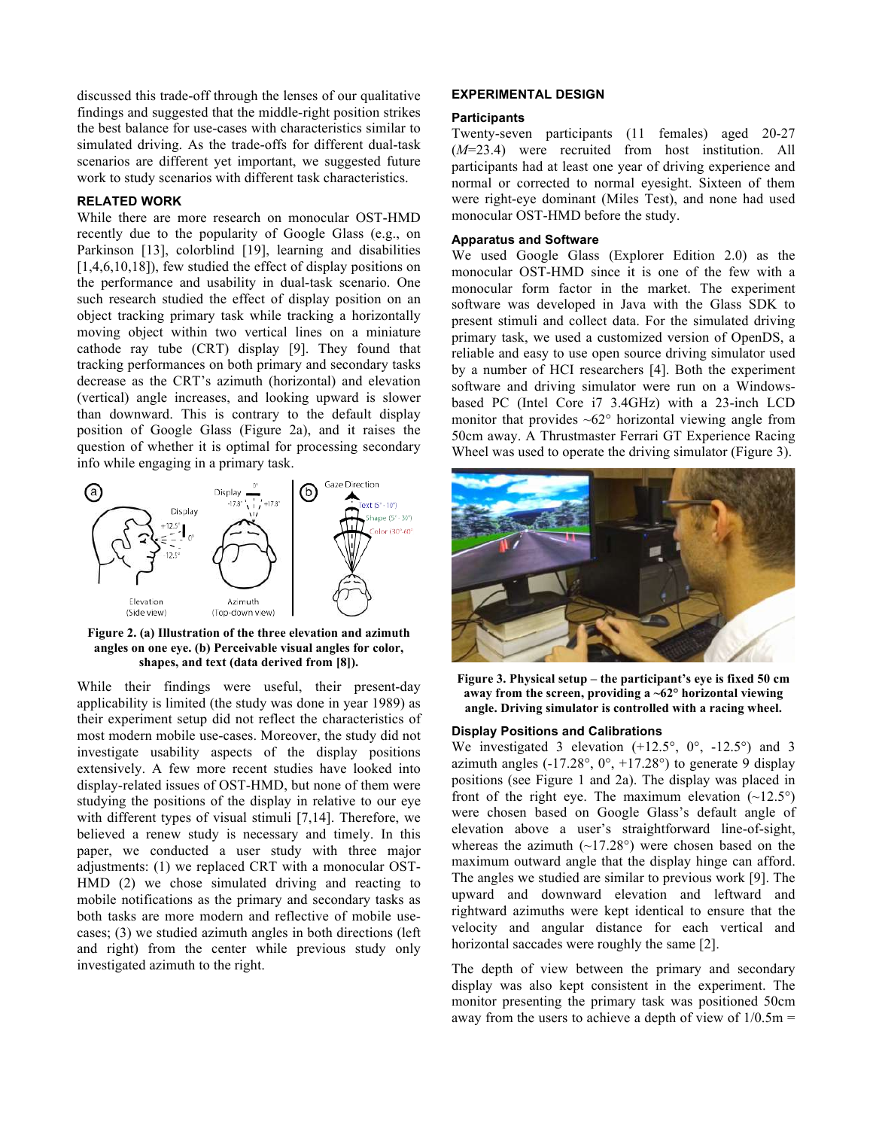discussed this trade-off through the lenses of our qualitative findings and suggested that the middle-right position strikes the best balance for use-cases with characteristics similar to simulated driving. As the trade-offs for different dual-task scenarios are different yet important, we suggested future work to study scenarios with different task characteristics.

## **RELATED WORK**

While there are more research on monocular OST-HMD recently due to the popularity of Google Glass (e.g., on Parkinson [13], colorblind [19], learning and disabilities [1,4,6,10,18]), few studied the effect of display positions on the performance and usability in dual-task scenario. One such research studied the effect of display position on an object tracking primary task while tracking a horizontally moving object within two vertical lines on a miniature cathode ray tube (CRT) display [9]. They found that tracking performances on both primary and secondary tasks decrease as the CRT's azimuth (horizontal) and elevation (vertical) angle increases, and looking upward is slower than downward. This is contrary to the default display position of Google Glass (Figure 2a), and it raises the question of whether it is optimal for processing secondary info while engaging in a primary task.



**Figure 2. (a) Illustration of the three elevation and azimuth angles on one eye. (b) Perceivable visual angles for color, shapes, and text (data derived from [8]).**

While their findings were useful, their present-day applicability is limited (the study was done in year 1989) as their experiment setup did not reflect the characteristics of most modern mobile use-cases. Moreover, the study did not investigate usability aspects of the display positions extensively. A few more recent studies have looked into display-related issues of OST-HMD, but none of them were studying the positions of the display in relative to our eye with different types of visual stimuli [7,14]. Therefore, we believed a renew study is necessary and timely. In this paper, we conducted a user study with three major adjustments: (1) we replaced CRT with a monocular OST-HMD (2) we chose simulated driving and reacting to mobile notifications as the primary and secondary tasks as both tasks are more modern and reflective of mobile usecases; (3) we studied azimuth angles in both directions (left and right) from the center while previous study only investigated azimuth to the right.

#### **EXPERIMENTAL DESIGN**

#### **Participants**

Twenty-seven participants (11 females) aged 20-27 (*M*=23.4) were recruited from host institution. All participants had at least one year of driving experience and normal or corrected to normal eyesight. Sixteen of them were right-eye dominant (Miles Test), and none had used monocular OST-HMD before the study.

#### **Apparatus and Software**

We used Google Glass (Explorer Edition 2.0) as the monocular OST-HMD since it is one of the few with a monocular form factor in the market. The experiment software was developed in Java with the Glass SDK to present stimuli and collect data. For the simulated driving primary task, we used a customized version of OpenDS, a reliable and easy to use open source driving simulator used by a number of HCI researchers [4]. Both the experiment software and driving simulator were run on a Windowsbased PC (Intel Core i7 3.4GHz) with a 23-inch LCD monitor that provides  $\sim 62^\circ$  horizontal viewing angle from 50cm away. A Thrustmaster Ferrari GT Experience Racing Wheel was used to operate the driving simulator (Figure 3).



**Figure 3. Physical setup – the participant's eye is fixed 50 cm away from the screen, providing a ~62° horizontal viewing angle. Driving simulator is controlled with a racing wheel.**

#### **Display Positions and Calibrations**

We investigated 3 elevation  $(+12.5^{\circ}, 0^{\circ}, -12.5^{\circ})$  and 3 azimuth angles  $(-17.28^{\circ}, 0^{\circ}, +17.28^{\circ})$  to generate 9 display positions (see Figure 1 and 2a). The display was placed in front of the right eye. The maximum elevation  $(\sim 12.5^{\circ})$ were chosen based on Google Glass's default angle of elevation above a user's straightforward line-of-sight, whereas the azimuth  $(-17.28^{\circ})$  were chosen based on the maximum outward angle that the display hinge can afford. The angles we studied are similar to previous work [9]. The upward and downward elevation and leftward and rightward azimuths were kept identical to ensure that the velocity and angular distance for each vertical and horizontal saccades were roughly the same [2].

The depth of view between the primary and secondary display was also kept consistent in the experiment. The monitor presenting the primary task was positioned 50cm away from the users to achieve a depth of view of  $1/0.5m =$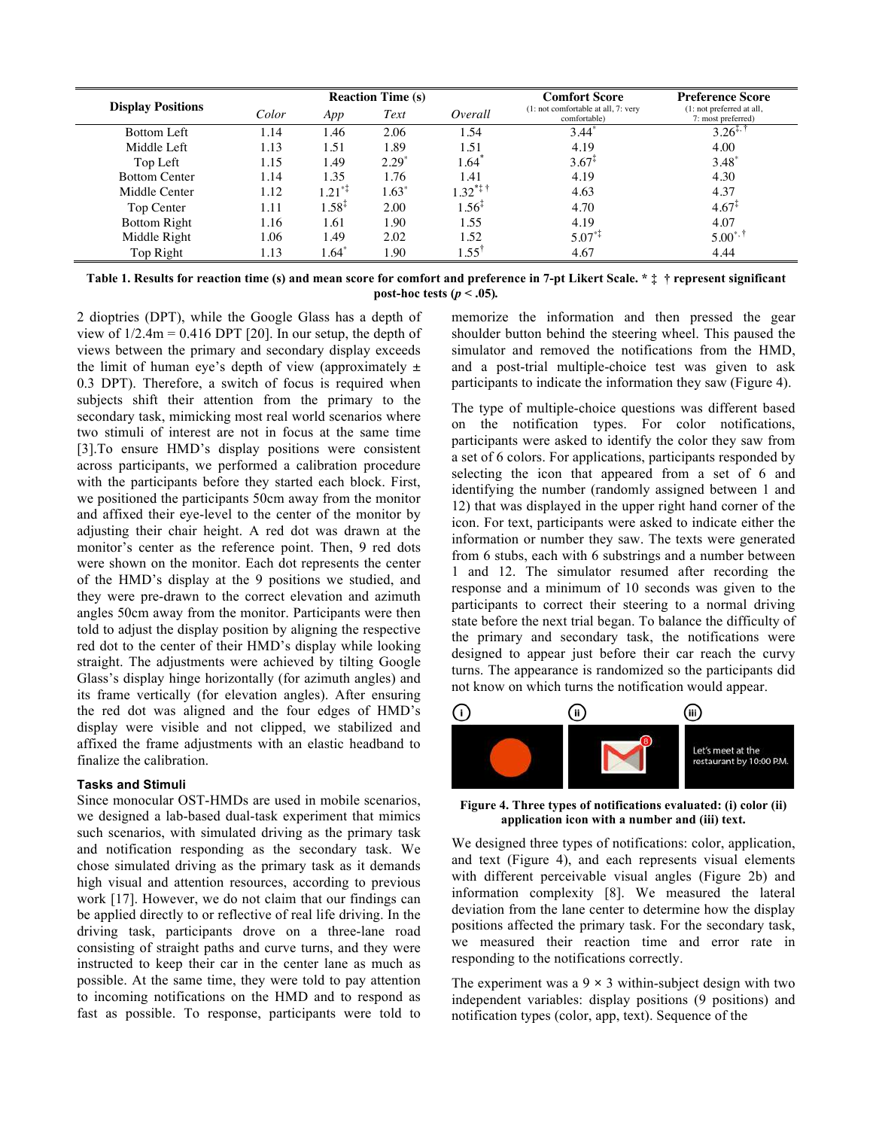|                          |       |             | <b>Reaction Time (s)</b> |                | <b>Comfort Score</b>                                | <b>Preference Score</b>                         |  |  |
|--------------------------|-------|-------------|--------------------------|----------------|-----------------------------------------------------|-------------------------------------------------|--|--|
| <b>Display Positions</b> | Color | App         | Text<br>Overall          |                | (1: not comfortable at all, 7: very<br>comfortable) | (1: not preferred at all,<br>7: most preferred) |  |  |
| Bottom Left              | l.14  | 1.46        | 2.06                     | 1.54           | $3.44*$                                             | $3.26^{+.1}$                                    |  |  |
| Middle Left              | 1.13  | 1.51        | 1.89                     | 1.51           | 4.19                                                | 4.00                                            |  |  |
| Top Left                 | 1.15  | 1.49        | $2.29^{\circ}$           | 1.64           | $3.67^{1}$                                          | $3.48^*$                                        |  |  |
| <b>Bottom Center</b>     | 1.14  | 1.35        | 1.76                     | 1.41           | 4.19                                                | 4.30                                            |  |  |
| Middle Center            | 1.12  | $1.21^{*1}$ | $1.63*$                  | $1.32***$      | 4.63                                                | 4.37                                            |  |  |
| Top Center               | 1.11  | $1.58^{x}$  | 2.00                     | $1.56^{+}$     | 4.70                                                | $4.67^*$                                        |  |  |
| <b>Bottom Right</b>      | 1.16  | 1.61        | 1.90                     | 1.55           | 4.19                                                | 4.07                                            |  |  |
| Middle Right             | 1.06  | 1.49        | 2.02                     | 1.52           | $5.07^{*}$                                          | $5.00^{*,+}$                                    |  |  |
| Top Right                | 1.13  | 1.64        | 1.90                     | $1.55^{\circ}$ | 4.67                                                | 4.44                                            |  |  |

**Table 1. Results for reaction time (s) and mean score for comfort and preference in 7-pt Likert Scale. \* ‡ † represent significant post-hoc tests**  $(p < .05)$ .

2 dioptries (DPT), while the Google Glass has a depth of view of  $1/2.4m = 0.416$  DPT [20]. In our setup, the depth of views between the primary and secondary display exceeds the limit of human eye's depth of view (approximately  $\pm$ 0.3 DPT). Therefore, a switch of focus is required when subjects shift their attention from the primary to the secondary task, mimicking most real world scenarios where two stimuli of interest are not in focus at the same time [3].To ensure HMD's display positions were consistent across participants, we performed a calibration procedure with the participants before they started each block. First, we positioned the participants 50cm away from the monitor and affixed their eye-level to the center of the monitor by adjusting their chair height. A red dot was drawn at the monitor's center as the reference point. Then, 9 red dots were shown on the monitor. Each dot represents the center of the HMD's display at the 9 positions we studied, and they were pre-drawn to the correct elevation and azimuth angles 50cm away from the monitor. Participants were then told to adjust the display position by aligning the respective red dot to the center of their HMD's display while looking straight. The adjustments were achieved by tilting Google Glass's display hinge horizontally (for azimuth angles) and its frame vertically (for elevation angles). After ensuring the red dot was aligned and the four edges of HMD's display were visible and not clipped, we stabilized and affixed the frame adjustments with an elastic headband to finalize the calibration.

## **Tasks and Stimuli**

Since monocular OST-HMDs are used in mobile scenarios, we designed a lab-based dual-task experiment that mimics such scenarios, with simulated driving as the primary task and notification responding as the secondary task. We chose simulated driving as the primary task as it demands high visual and attention resources, according to previous work [17]. However, we do not claim that our findings can be applied directly to or reflective of real life driving. In the driving task, participants drove on a three-lane road consisting of straight paths and curve turns, and they were instructed to keep their car in the center lane as much as possible. At the same time, they were told to pay attention to incoming notifications on the HMD and to respond as fast as possible. To response, participants were told to memorize the information and then pressed the gear shoulder button behind the steering wheel. This paused the simulator and removed the notifications from the HMD, and a post-trial multiple-choice test was given to ask participants to indicate the information they saw (Figure 4).

The type of multiple-choice questions was different based on the notification types. For color notifications, participants were asked to identify the color they saw from a set of 6 colors. For applications, participants responded by selecting the icon that appeared from a set of 6 and identifying the number (randomly assigned between 1 and 12) that was displayed in the upper right hand corner of the icon. For text, participants were asked to indicate either the information or number they saw. The texts were generated from 6 stubs, each with 6 substrings and a number between 1 and 12. The simulator resumed after recording the response and a minimum of 10 seconds was given to the participants to correct their steering to a normal driving state before the next trial began. To balance the difficulty of the primary and secondary task, the notifications were designed to appear just before their car reach the curvy turns. The appearance is randomized so the participants did not know on which turns the notification would appear.



**Figure 4. Three types of notifications evaluated: (i) color (ii) application icon with a number and (iii) text.** 

We designed three types of notifications: color, application, and text (Figure 4), and each represents visual elements with different perceivable visual angles (Figure 2b) and information complexity [8]. We measured the lateral deviation from the lane center to determine how the display positions affected the primary task. For the secondary task, we measured their reaction time and error rate in responding to the notifications correctly.

The experiment was a  $9 \times 3$  within-subject design with two independent variables: display positions (9 positions) and notification types (color, app, text). Sequence of the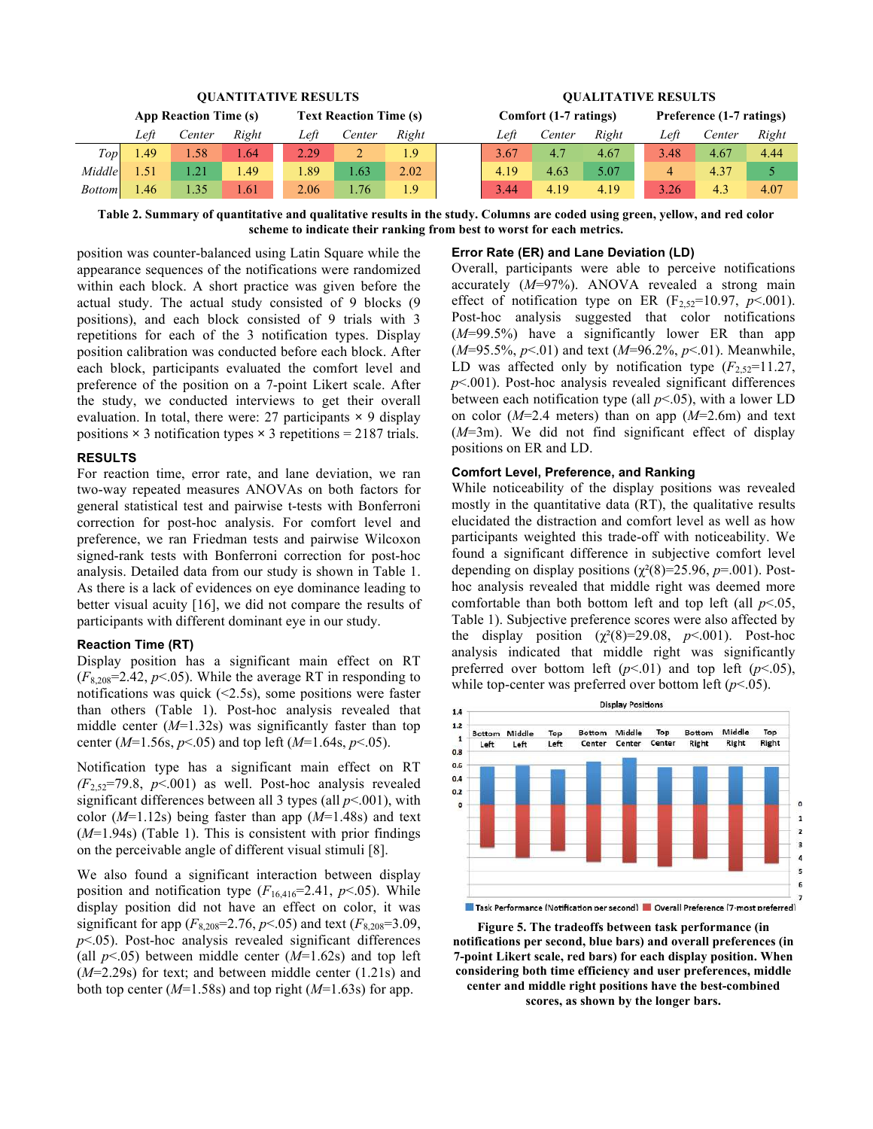| <b>OUANTITATIVE RESULTS</b> |                       |        |       |      |                               |       | <b>OUALITATIVE RESULTS</b> |                       |        |       |                          |        |       |
|-----------------------------|-----------------------|--------|-------|------|-------------------------------|-------|----------------------------|-----------------------|--------|-------|--------------------------|--------|-------|
|                             | App Reaction Time (s) |        |       |      | <b>Text Reaction Time (s)</b> |       |                            | Comfort (1-7 ratings) |        |       | Preference (1-7 ratings) |        |       |
|                             | Left                  | Center | Right | Left | Center                        | Right |                            | Left                  | Center | Right | Left                     | Center | Right |
| Top                         | 1.49                  | 1.58   | .64   | 2.29 | ∠                             | 1.9   |                            | 3.67                  | 4.7    | 4.67  | 3.48                     | 4.67   | 4.44  |
| Middle                      | $\sqrt{51}$           | 1.21   | .49   | 1.89 | .63                           | 2.02  |                            | 4.19                  | 4.63   | 5.07  | 4                        | 4.37   |       |
| <b>Bottom</b>               | .46                   | l 35   | .61   | 2.06 | .76                           | 1.9   |                            | 3.44                  | 4.19   | 4.19  | 3.26                     | 4.3    | 4.07  |

**Table 2. Summary of quantitative and qualitative results in the study. Columns are coded using green, yellow, and red color scheme to indicate their ranking from best to worst for each metrics.**

position was counter-balanced using Latin Square while the appearance sequences of the notifications were randomized within each block. A short practice was given before the actual study. The actual study consisted of 9 blocks (9 positions), and each block consisted of 9 trials with 3 repetitions for each of the 3 notification types. Display position calibration was conducted before each block. After each block, participants evaluated the comfort level and preference of the position on a 7-point Likert scale. After the study, we conducted interviews to get their overall evaluation. In total, there were: 27 participants **×** 9 display positions  $\times$  3 notification types  $\times$  3 repetitions = 2187 trials.

#### **RESULTS**

For reaction time, error rate, and lane deviation, we ran two-way repeated measures ANOVAs on both factors for general statistical test and pairwise t-tests with Bonferroni correction for post-hoc analysis. For comfort level and preference, we ran Friedman tests and pairwise Wilcoxon signed-rank tests with Bonferroni correction for post-hoc analysis. Detailed data from our study is shown in Table 1. As there is a lack of evidences on eye dominance leading to better visual acuity [16], we did not compare the results of participants with different dominant eye in our study.

#### **Reaction Time (RT)**

Display position has a significant main effect on RT  $(F_{8,208}=2.42, p<0.65)$ . While the average RT in responding to notifications was quick (<2.5s), some positions were faster than others (Table 1). Post-hoc analysis revealed that middle center (*M*=1.32s) was significantly faster than top center (*M*=1.56s, *p*<.05) and top left (*M*=1.64s, *p*<.05).

Notification type has a significant main effect on RT  $(F_{2,52}=79.8, p<0.01)$  as well. Post-hoc analysis revealed significant differences between all 3 types (all  $p$ <.001), with color (*M*=1.12s) being faster than app (*M*=1.48s) and text (*M*=1.94s) (Table 1). This is consistent with prior findings on the perceivable angle of different visual stimuli [8].

We also found a significant interaction between display position and notification type  $(F_{16,416}=2.41, p<.05)$ . While display position did not have an effect on color, it was significant for app  $(F_{8,208}=2.76, p<0.05)$  and text  $(F_{8,208}=3.09,$ *p*<.05). Post-hoc analysis revealed significant differences (all  $p<05$ ) between middle center  $(M=1.62s)$  and top left (*M*=2.29s) for text; and between middle center (1.21s) and both top center (*M*=1.58s) and top right (*M*=1.63s) for app.

#### **Error Rate (ER) and Lane Deviation (LD)**

Overall, participants were able to perceive notifications accurately (*M*=97%). ANOVA revealed a strong main effect of notification type on ER  $(F_{2,52}=10.97, p<0.01)$ . Post-hoc analysis suggested that color notifications (*M*=99.5%) have a significantly lower ER than app (*M*=95.5%, *p*<.01) and text (*M*=96.2%, *p*<.01). Meanwhile, LD was affected only by notification type  $(F_{2.52}=11.27)$ , *p*<.001). Post-hoc analysis revealed significant differences between each notification type (all *p*<.05), with a lower LD on color (*M*=2.4 meters) than on app (*M*=2.6m) and text (*M*=3m). We did not find significant effect of display positions on ER and LD.

## **Comfort Level, Preference, and Ranking**

While noticeability of the display positions was revealed mostly in the quantitative data (RT), the qualitative results elucidated the distraction and comfort level as well as how participants weighted this trade-off with noticeability. We found a significant difference in subjective comfort level depending on display positions ( $\chi^2(8)=25.96$ ,  $p=.001$ ). Posthoc analysis revealed that middle right was deemed more comfortable than both bottom left and top left (all *p*<.05, Table 1). Subjective preference scores were also affected by the display position  $(\gamma^2(8)=29.08, p<.001)$ . Post-hoc analysis indicated that middle right was significantly preferred over bottom left  $(p<.01)$  and top left  $(p<.05)$ , while top-center was preferred over bottom left (*p*<.05).



Task Performance (Notification per second) Coverall Preference (7-most preferred)

**Figure 5. The tradeoffs between task performance (in notifications per second, blue bars) and overall preferences (in 7-point Likert scale, red bars) for each display position. When considering both time efficiency and user preferences, middle center and middle right positions have the best-combined scores, as shown by the longer bars.**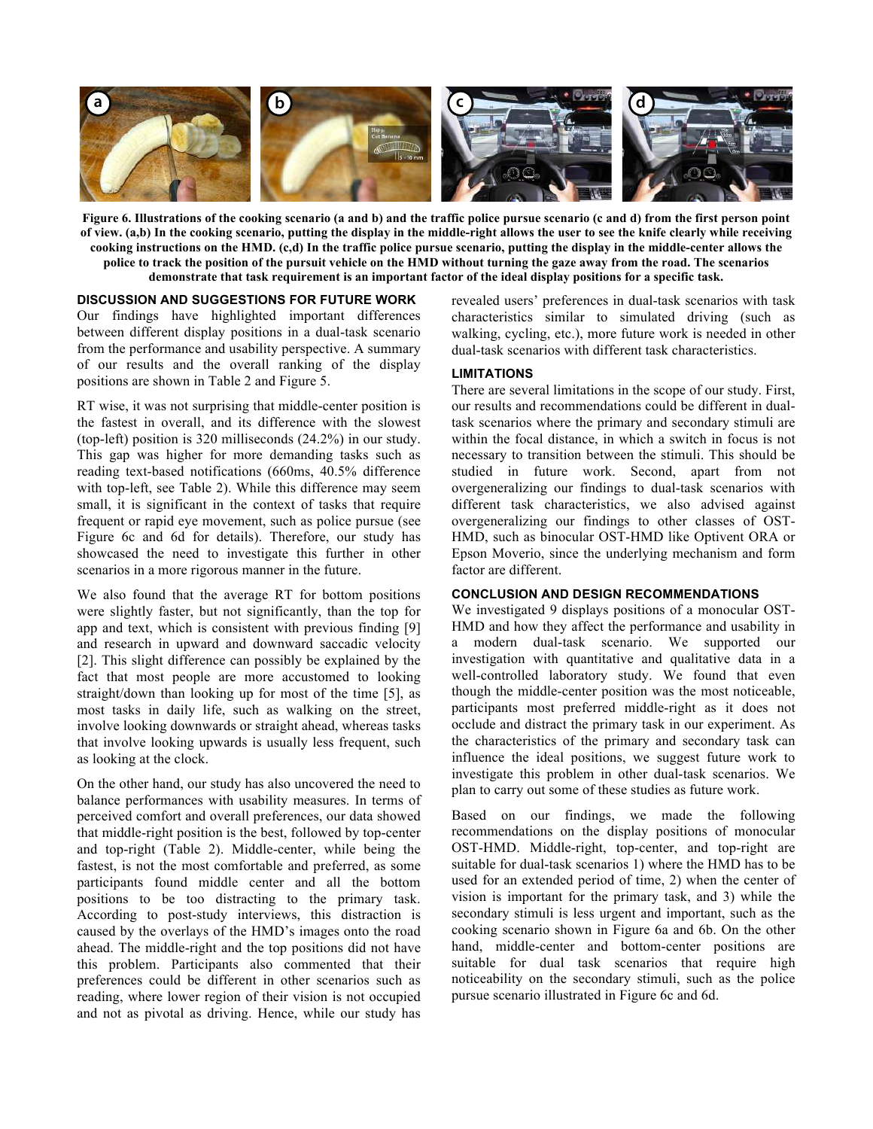

**Figure 6. Illustrations of the cooking scenario (a and b) and the traffic police pursue scenario (c and d) from the first person point of view. (a,b) In the cooking scenario, putting the display in the middle-right allows the user to see the knife clearly while receiving cooking instructions on the HMD. (c,d) In the traffic police pursue scenario, putting the display in the middle-center allows the police to track the position of the pursuit vehicle on the HMD without turning the gaze away from the road. The scenarios demonstrate that task requirement is an important factor of the ideal display positions for a specific task.**

## **DISCUSSION AND SUGGESTIONS FOR FUTURE WORK**

Our findings have highlighted important differences between different display positions in a dual-task scenario from the performance and usability perspective. A summary of our results and the overall ranking of the display positions are shown in Table 2 and Figure 5.

RT wise, it was not surprising that middle-center position is the fastest in overall, and its difference with the slowest (top-left) position is 320 milliseconds (24.2%) in our study. This gap was higher for more demanding tasks such as reading text-based notifications (660ms, 40.5% difference with top-left, see Table 2). While this difference may seem small, it is significant in the context of tasks that require frequent or rapid eye movement, such as police pursue (see Figure 6c and 6d for details). Therefore, our study has showcased the need to investigate this further in other scenarios in a more rigorous manner in the future.

We also found that the average RT for bottom positions were slightly faster, but not significantly, than the top for app and text, which is consistent with previous finding [9] and research in upward and downward saccadic velocity [2]. This slight difference can possibly be explained by the fact that most people are more accustomed to looking straight/down than looking up for most of the time [5], as most tasks in daily life, such as walking on the street, involve looking downwards or straight ahead, whereas tasks that involve looking upwards is usually less frequent, such as looking at the clock.

On the other hand, our study has also uncovered the need to balance performances with usability measures. In terms of perceived comfort and overall preferences, our data showed that middle-right position is the best, followed by top-center and top-right (Table 2). Middle-center, while being the fastest, is not the most comfortable and preferred, as some participants found middle center and all the bottom positions to be too distracting to the primary task. According to post-study interviews, this distraction is caused by the overlays of the HMD's images onto the road ahead. The middle-right and the top positions did not have this problem. Participants also commented that their preferences could be different in other scenarios such as reading, where lower region of their vision is not occupied and not as pivotal as driving. Hence, while our study has

revealed users' preferences in dual-task scenarios with task characteristics similar to simulated driving (such as walking, cycling, etc.), more future work is needed in other dual-task scenarios with different task characteristics.

## **LIMITATIONS**

There are several limitations in the scope of our study. First, our results and recommendations could be different in dualtask scenarios where the primary and secondary stimuli are within the focal distance, in which a switch in focus is not necessary to transition between the stimuli. This should be studied in future work. Second, apart from not overgeneralizing our findings to dual-task scenarios with different task characteristics, we also advised against overgeneralizing our findings to other classes of OST-HMD, such as binocular OST-HMD like Optivent ORA or Epson Moverio, since the underlying mechanism and form factor are different.

#### **CONCLUSION AND DESIGN RECOMMENDATIONS**

We investigated 9 displays positions of a monocular OST-HMD and how they affect the performance and usability in a modern dual-task scenario. We supported our investigation with quantitative and qualitative data in a well-controlled laboratory study. We found that even though the middle-center position was the most noticeable, participants most preferred middle-right as it does not occlude and distract the primary task in our experiment. As the characteristics of the primary and secondary task can influence the ideal positions, we suggest future work to investigate this problem in other dual-task scenarios. We plan to carry out some of these studies as future work.

Based on our findings, we made the following recommendations on the display positions of monocular OST-HMD. Middle-right, top-center, and top-right are suitable for dual-task scenarios 1) where the HMD has to be used for an extended period of time, 2) when the center of vision is important for the primary task, and 3) while the secondary stimuli is less urgent and important, such as the cooking scenario shown in Figure 6a and 6b. On the other hand, middle-center and bottom-center positions are suitable for dual task scenarios that require high noticeability on the secondary stimuli, such as the police pursue scenario illustrated in Figure 6c and 6d.